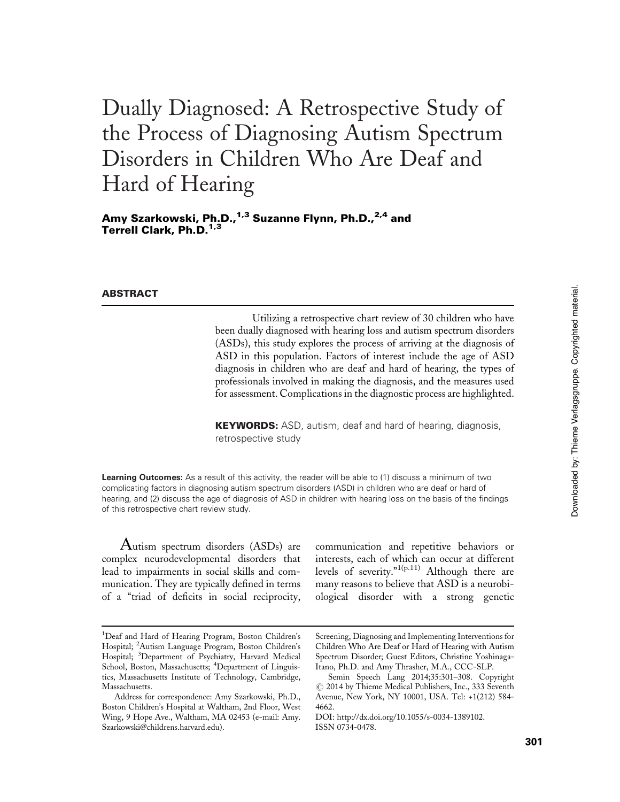# Dually Diagnosed: A Retrospective Study of the Process of Diagnosing Autism Spectrum Disorders in Children Who Are Deaf and Hard of Hearing

Amy Szarkowski, Ph.D.,<sup>1,3</sup> Suzanne Flynn, Ph.D.,<sup>2,4</sup> and Terrell Clark, Ph.D.<sup>1,3</sup>

## ABSTRACT

Utilizing a retrospective chart review of 30 children who have been dually diagnosed with hearing loss and autism spectrum disorders (ASDs), this study explores the process of arriving at the diagnosis of ASD in this population. Factors of interest include the age of ASD diagnosis in children who are deaf and hard of hearing, the types of professionals involved in making the diagnosis, and the measures used for assessment. Complications in the diagnostic process are highlighted.

**KEYWORDS:** ASD, autism, deaf and hard of hearing, diagnosis, retrospective study

Learning Outcomes: As a result of this activity, the reader will be able to (1) discuss a minimum of two complicating factors in diagnosing autism spectrum disorders (ASD) in children who are deaf or hard of hearing, and (2) discuss the age of diagnosis of ASD in children with hearing loss on the basis of the findings of this retrospective chart review study.

Autism spectrum disorders (ASDs) are complex neurodevelopmental disorders that lead to impairments in social skills and communication. They are typically defined in terms of a "triad of deficits in social reciprocity,

communication and repetitive behaviors or interests, each of which can occur at different levels of severity."<sup>1(p.11)</sup> Although there are many reasons to believe that ASD is a neurobiological disorder with a strong genetic

<sup>&</sup>lt;sup>1</sup>Deaf and Hard of Hearing Program, Boston Children's Hospital; <sup>2</sup> Autism Language Program, Boston Children's Hospital; <sup>3</sup> Department of Psychiatry, Harvard Medical School, Boston, Massachusetts; <sup>4</sup>Department of Linguistics, Massachusetts Institute of Technology, Cambridge, Massachusetts.

Address for correspondence: Amy Szarkowski, Ph.D., Boston Children's Hospital at Waltham, 2nd Floor, West Wing, 9 Hope Ave., Waltham, MA 02453 (e-mail: Amy. Szarkowski@childrens.harvard.edu).

Screening, Diagnosing and Implementing Interventions for Children Who Are Deaf or Hard of Hearing with Autism Spectrum Disorder; Guest Editors, Christine Yoshinaga-Itano, Ph.D. and Amy Thrasher, M.A., CCC-SLP.

Semin Speech Lang 2014;35:301–308. Copyright  $\odot$  2014 by Thieme Medical Publishers, Inc., 333 Seventh Avenue, New York, NY 10001, USA. Tel: +1(212) 584- 4662.

DOI: http://dx.doi.org/10.1055/s-0034-1389102. ISSN 0734-0478.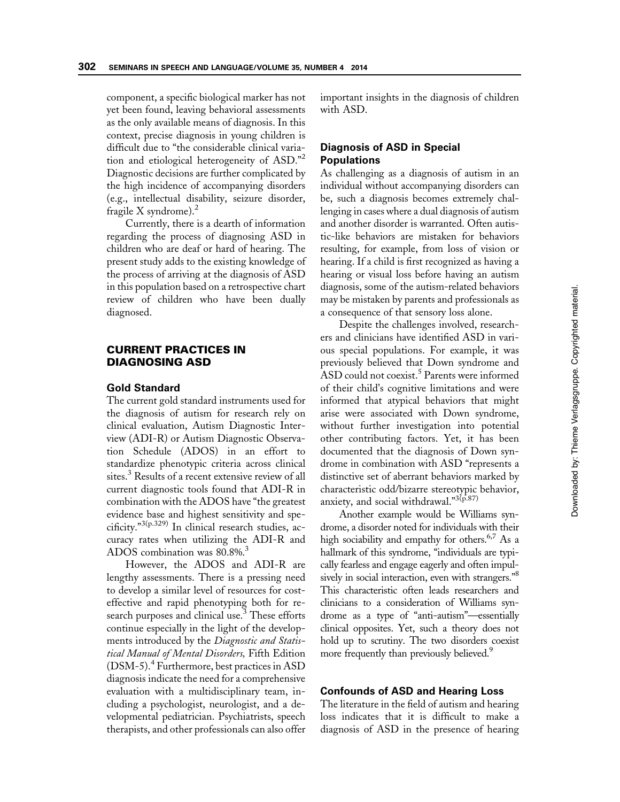component, a specific biological marker has not yet been found, leaving behavioral assessments as the only available means of diagnosis. In this context, precise diagnosis in young children is difficult due to "the considerable clinical variation and etiological heterogeneity of ASD."<sup>2</sup> Diagnostic decisions are further complicated by the high incidence of accompanying disorders (e.g., intellectual disability, seizure disorder, fragile X syndrome). $^{2}$ 

Currently, there is a dearth of information regarding the process of diagnosing ASD in children who are deaf or hard of hearing. The present study adds to the existing knowledge of the process of arriving at the diagnosis of ASD in this population based on a retrospective chart review of children who have been dually diagnosed.

# CURRENT PRACTICES IN DIAGNOSING ASD

#### Gold Standard

The current gold standard instruments used for the diagnosis of autism for research rely on clinical evaluation, Autism Diagnostic Interview (ADI-R) or Autism Diagnostic Observation Schedule (ADOS) in an effort to standardize phenotypic criteria across clinical sites.<sup>3</sup> Results of a recent extensive review of all current diagnostic tools found that ADI-R in combination with the ADOS have "the greatest evidence base and highest sensitivity and specificity."3(p.329) In clinical research studies, accuracy rates when utilizing the ADI-R and ADOS combination was 80.8%.<sup>3</sup>

However, the ADOS and ADI-R are lengthy assessments. There is a pressing need to develop a similar level of resources for costeffective and rapid phenotyping both for research purposes and clinical use.<sup>3</sup> These efforts continue especially in the light of the developments introduced by the *Diagnostic and Statis*tical Manual of Mental Disorders, Fifth Edition (DSM-5).4 Furthermore, best practices in ASD diagnosis indicate the need for a comprehensive evaluation with a multidisciplinary team, including a psychologist, neurologist, and a developmental pediatrician. Psychiatrists, speech therapists, and other professionals can also offer important insights in the diagnosis of children with ASD.

# Diagnosis of ASD in Special Populations

As challenging as a diagnosis of autism in an individual without accompanying disorders can be, such a diagnosis becomes extremely challenging in cases where a dual diagnosis of autism and another disorder is warranted. Often autistic-like behaviors are mistaken for behaviors resulting, for example, from loss of vision or hearing. If a child is first recognized as having a hearing or visual loss before having an autism diagnosis, some of the autism-related behaviors may be mistaken by parents and professionals as a consequence of that sensory loss alone.

Despite the challenges involved, researchers and clinicians have identified ASD in various special populations. For example, it was previously believed that Down syndrome and ASD could not coexist.<sup>5</sup> Parents were informed of their child's cognitive limitations and were informed that atypical behaviors that might arise were associated with Down syndrome, without further investigation into potential other contributing factors. Yet, it has been documented that the diagnosis of Down syndrome in combination with ASD "represents a distinctive set of aberrant behaviors marked by characteristic odd/bizarre stereotypic behavior, anxiety, and social withdrawal."3(p.87)

Another example would be Williams syndrome, a disorder noted for individuals with their high sociability and empathy for others.<sup>6,7</sup> As a hallmark of this syndrome, "individuals are typically fearless and engage eagerly and often impulsively in social interaction, even with strangers."<sup>8</sup> This characteristic often leads researchers and clinicians to a consideration of Williams syndrome as a type of "anti-autism"—essentially clinical opposites. Yet, such a theory does not hold up to scrutiny. The two disorders coexist more frequently than previously believed.<sup>9</sup>

## Confounds of ASD and Hearing Loss

The literature in the field of autism and hearing loss indicates that it is difficult to make a diagnosis of ASD in the presence of hearing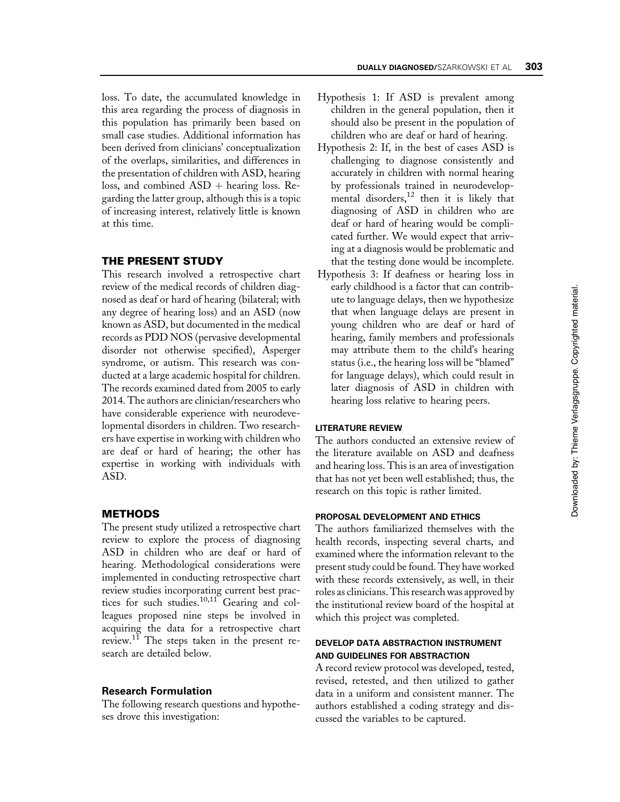loss. To date, the accumulated knowledge in this area regarding the process of diagnosis in this population has primarily been based on small case studies. Additional information has been derived from clinicians' conceptualization of the overlaps, similarities, and differences in the presentation of children with ASD, hearing loss, and combined  $ASD +$  hearing loss. Regarding the latter group, although this is a topic of increasing interest, relatively little is known at this time.

# THE PRESENT STUDY

This research involved a retrospective chart review of the medical records of children diagnosed as deaf or hard of hearing (bilateral; with any degree of hearing loss) and an ASD (now known as ASD, but documented in the medical records as PDD NOS (pervasive developmental disorder not otherwise specified), Asperger syndrome, or autism. This research was conducted at a large academic hospital for children. The records examined dated from 2005 to early 2014. The authors are clinician/researchers who have considerable experience with neurodevelopmental disorders in children. Two researchers have expertise in working with children who are deaf or hard of hearing; the other has expertise in working with individuals with ASD.

## METHODS

The present study utilized a retrospective chart review to explore the process of diagnosing ASD in children who are deaf or hard of hearing. Methodological considerations were implemented in conducting retrospective chart review studies incorporating current best practices for such studies.<sup>10,11</sup> Gearing and colleagues proposed nine steps be involved in acquiring the data for a retrospective chart review.<sup>11</sup> The steps taken in the present research are detailed below.

# Research Formulation

The following research questions and hypotheses drove this investigation:

- Hypothesis 1: If ASD is prevalent among children in the general population, then it should also be present in the population of children who are deaf or hard of hearing.
- Hypothesis 2: If, in the best of cases ASD is challenging to diagnose consistently and accurately in children with normal hearing by professionals trained in neurodevelopmental disorders,<sup>12</sup> then it is likely that diagnosing of ASD in children who are deaf or hard of hearing would be complicated further. We would expect that arriving at a diagnosis would be problematic and that the testing done would be incomplete.
- Hypothesis 3: If deafness or hearing loss in early childhood is a factor that can contribute to language delays, then we hypothesize that when language delays are present in young children who are deaf or hard of hearing, family members and professionals may attribute them to the child's hearing status (i.e., the hearing loss will be "blamed" for language delays), which could result in later diagnosis of ASD in children with hearing loss relative to hearing peers.

## LITERATURE REVIEW

The authors conducted an extensive review of the literature available on ASD and deafness and hearing loss. This is an area of investigation that has not yet been well established; thus, the research on this topic is rather limited.

#### PROPOSAL DEVELOPMENT AND ETHICS

The authors familiarized themselves with the health records, inspecting several charts, and examined where the information relevant to the present study could be found. They have worked with these records extensively, as well, in their roles as clinicians. This research was approved by the institutional review board of the hospital at which this project was completed.

## DEVELOP DATA ABSTRACTION INSTRUMENT AND GUIDELINES FOR ABSTRACTION

A record review protocol was developed, tested, revised, retested, and then utilized to gather data in a uniform and consistent manner. The authors established a coding strategy and discussed the variables to be captured.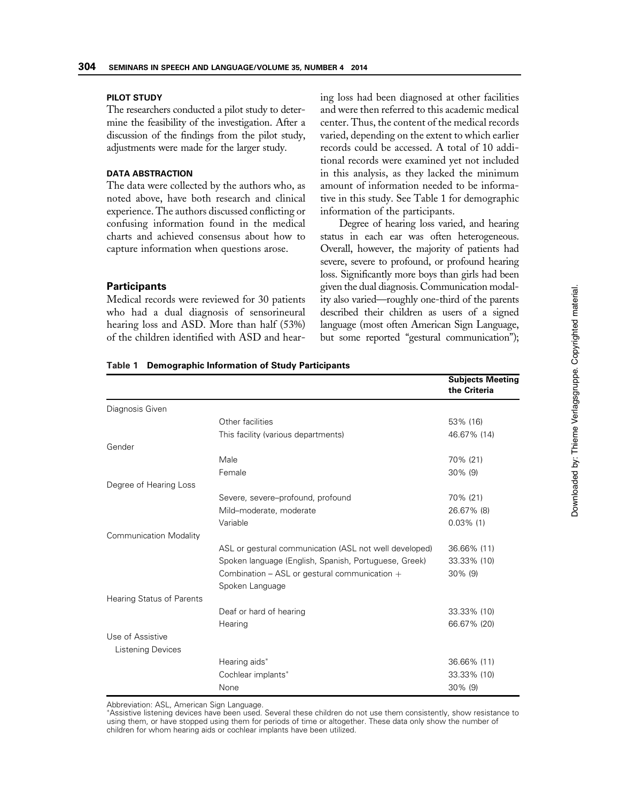#### PILOT STUDY

The researchers conducted a pilot study to determine the feasibility of the investigation. After a discussion of the findings from the pilot study, adjustments were made for the larger study.

#### DATA ABSTRACTION

The data were collected by the authors who, as noted above, have both research and clinical experience. The authors discussed conflicting or confusing information found in the medical charts and achieved consensus about how to capture information when questions arose.

#### **Participants**

Medical records were reviewed for 30 patients who had a dual diagnosis of sensorineural hearing loss and ASD. More than half (53%) of the children identified with ASD and hearing loss had been diagnosed at other facilities and were then referred to this academic medical center. Thus, the content of the medical records varied, depending on the extent to which earlier records could be accessed. A total of 10 additional records were examined yet not included in this analysis, as they lacked the minimum amount of information needed to be informative in this study. See Table 1 for demographic information of the participants.

Degree of hearing loss varied, and hearing status in each ear was often heterogeneous. Overall, however, the majority of patients had severe, severe to profound, or profound hearing loss. Significantly more boys than girls had been given the dual diagnosis. Communication modality also varied—roughly one-third of the parents described their children as users of a signed language (most often American Sign Language, but some reported "gestural communication");

|                               |                                                        | <b>Subjects Meeting</b><br>the Criteria |
|-------------------------------|--------------------------------------------------------|-----------------------------------------|
| Diagnosis Given               |                                                        |                                         |
|                               | Other facilities                                       | 53% (16)                                |
|                               | This facility (various departments)                    | 46.67% (14)                             |
| Gender                        |                                                        |                                         |
|                               | Male                                                   | 70% (21)                                |
|                               | Female                                                 | $30\%$ (9)                              |
| Degree of Hearing Loss        |                                                        |                                         |
|                               | Severe, severe-profound, profound                      | 70% (21)                                |
|                               | Mild-moderate, moderate                                | 26.67% (8)                              |
|                               | Variable                                               | $0.03\%$ (1)                            |
| <b>Communication Modality</b> |                                                        |                                         |
|                               | ASL or gestural communication (ASL not well developed) | 36.66% (11)                             |
|                               | Spoken language (English, Spanish, Portuguese, Greek)  | 33.33% (10)                             |
|                               | Combination $-$ ASL or gestural communication $+$      | $30\%$ (9)                              |
|                               | Spoken Language                                        |                                         |
| Hearing Status of Parents     |                                                        |                                         |
|                               | Deaf or hard of hearing                                | 33.33% (10)                             |
|                               | Hearing                                                | 66.67% (20)                             |
| Use of Assistive              |                                                        |                                         |
| <b>Listening Devices</b>      |                                                        |                                         |
|                               | Hearing aids*                                          | 36.66% (11)                             |
|                               | Cochlear implants*                                     | 33.33% (10)                             |
|                               | None                                                   | $30\%$ (9)                              |

Table 1 Demographic Information of Study Participants

Abbreviation: ASL, American Sign Language.

" Assistive listening devices have been used. Several these children do not use them consistently, show resistance to using them, or have stopped using them for periods of time or altogether. These data only show the number of children for whom hearing aids or cochlear implants have been utilized.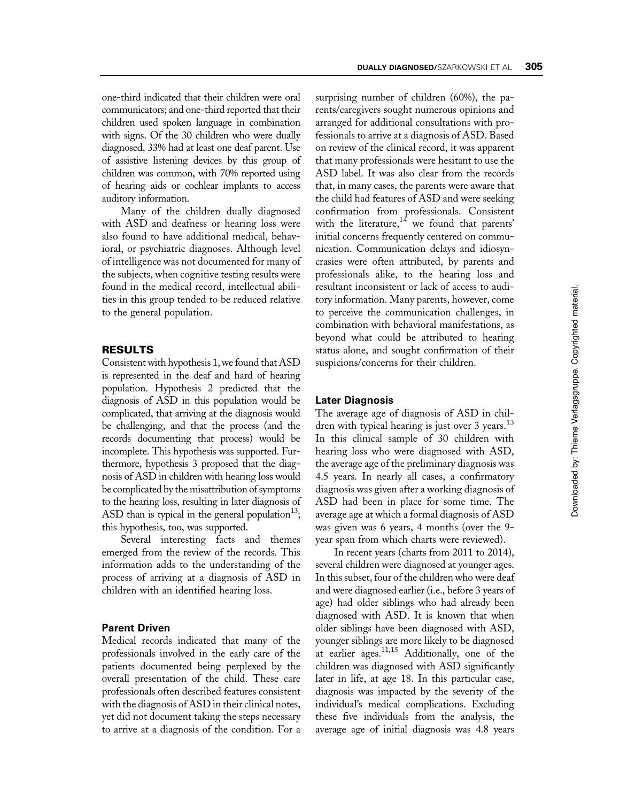one-third indicated that their children were oral communicators; and one-third reported that their children used spoken language in combination with signs. Of the 30 children who were dually diagnosed, 33% had at least one deaf parent. Use of assistive listening devices by this group of children was common, with 70% reported using of hearing aids or cochlear implants to access auditory information.

Many of the children dually diagnosed with ASD and deafness or hearing loss were also found to have additional medical, behavioral, or psychiatric diagnoses. Although level of intelligence was not documented for many of the subjects, when cognitive testing results were found in the medical record, intellectual abilities in this group tended to be reduced relative to the general population.

## RESULTS

Consistent with hypothesis 1, we found that ASD is represented in the deaf and hard of hearing population. Hypothesis 2 predicted that the diagnosis of ASD in this population would be complicated, that arriving at the diagnosis would be challenging, and that the process (and the records documenting that process) would be incomplete. This hypothesis was supported. Furthermore, hypothesis 3 proposed that the diagnosis of ASD in children with hearing loss would be complicated by the misattribution of symptoms to the hearing loss, resulting in later diagnosis of ASD than is typical in the general population $^{13}$ ; this hypothesis, too, was supported.

Several interesting facts and themes emerged from the review of the records. This information adds to the understanding of the process of arriving at a diagnosis of ASD in children with an identified hearing loss.

## Parent Driven

Medical records indicated that many of the professionals involved in the early care of the patients documented being perplexed by the overall presentation of the child. These care professionals often described features consistent with the diagnosis of ASD in their clinical notes, yet did not document taking the steps necessary to arrive at a diagnosis of the condition. For a

surprising number of children (60%), the parents/caregivers sought numerous opinions and arranged for additional consultations with professionals to arrive at a diagnosis of ASD. Based on review of the clinical record, it was apparent that many professionals were hesitant to use the ASD label. It was also clear from the records that, in many cases, the parents were aware that the child had features of ASD and were seeking confirmation from professionals. Consistent with the literature, $14$  we found that parents' initial concerns frequently centered on communication. Communication delays and idiosyncrasies were often attributed, by parents and professionals alike, to the hearing loss and resultant inconsistent or lack of access to auditory information. Many parents, however, come to perceive the communication challenges, in combination with behavioral manifestations, as beyond what could be attributed to hearing status alone, and sought confirmation of their suspicions/concerns for their children.

### Later Diagnosis

The average age of diagnosis of ASD in children with typical hearing is just over 3 years. $^{13}$ In this clinical sample of 30 children with hearing loss who were diagnosed with ASD, the average age of the preliminary diagnosis was 4.5 years. In nearly all cases, a confirmatory diagnosis was given after a working diagnosis of ASD had been in place for some time. The average age at which a formal diagnosis of ASD was given was 6 years, 4 months (over the 9 year span from which charts were reviewed).

In recent years (charts from 2011 to 2014), several children were diagnosed at younger ages. In this subset, four of the children who were deaf and were diagnosed earlier (i.e., before 3 years of age) had older siblings who had already been diagnosed with ASD. It is known that when older siblings have been diagnosed with ASD, younger siblings are more likely to be diagnosed at earlier ages. $11,15$  Additionally, one of the children was diagnosed with ASD significantly later in life, at age 18. In this particular case, diagnosis was impacted by the severity of the individual's medical complications. Excluding these five individuals from the analysis, the average age of initial diagnosis was 4.8 years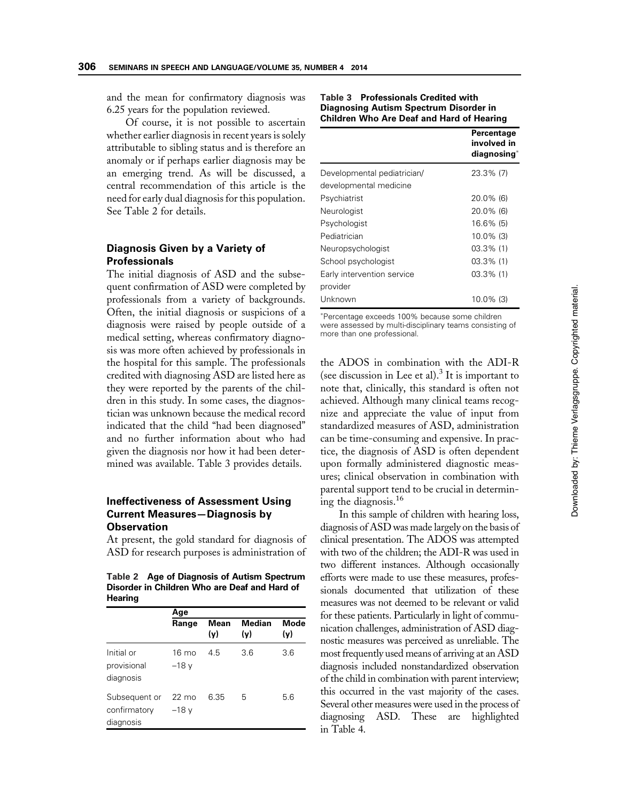and the mean for confirmatory diagnosis was 6.25 years for the population reviewed.

Of course, it is not possible to ascertain whether earlier diagnosis in recent years is solely attributable to sibling status and is therefore an anomaly or if perhaps earlier diagnosis may be an emerging trend. As will be discussed, a central recommendation of this article is the need for early dual diagnosis for this population. See Table 2 for details.

# Diagnosis Given by a Variety of Professionals

The initial diagnosis of ASD and the subsequent confirmation of ASD were completed by professionals from a variety of backgrounds. Often, the initial diagnosis or suspicions of a diagnosis were raised by people outside of a medical setting, whereas confirmatory diagnosis was more often achieved by professionals in the hospital for this sample. The professionals credited with diagnosing ASD are listed here as they were reported by the parents of the children in this study. In some cases, the diagnostician was unknown because the medical record indicated that the child "had been diagnosed" and no further information about who had given the diagnosis nor how it had been determined was available. Table 3 provides details.

# Ineffectiveness of Assessment Using Current Measures—Diagnosis by Observation

At present, the gold standard for diagnosis of ASD for research purposes is administration of

Table 2 Age of Diagnosis of Autism Spectrum Disorder in Children Who are Deaf and Hard of **Hearing** 

|                                            | Age                       |             |               |             |
|--------------------------------------------|---------------------------|-------------|---------------|-------------|
|                                            | Range                     | Mean<br>(y) | Median<br>(v) | Mode<br>(y) |
| Initial or<br>provisional<br>diagnosis     | $16 \text{ mo}$<br>$-18v$ | 45          | 3.6           | 3.6         |
| Subsequent or<br>confirmatory<br>diagnosis | $22 \text{ mo}$<br>$-18v$ | 6.35        | 5             | 5.6         |

| Table 3 Professionals Credited with       |  |  |  |
|-------------------------------------------|--|--|--|
| Diagnosing Autism Spectrum Disorder in    |  |  |  |
| Children Who Are Deaf and Hard of Hearing |  |  |  |

|                             | Percentage<br>involved in<br>diagnosing* |
|-----------------------------|------------------------------------------|
| Developmental pediatrician/ | 23.3% (7)                                |
| developmental medicine      |                                          |
| Psychiatrist                | $20.0\%$ (6)                             |
| Neurologist                 | $20.0\%$ (6)                             |
| Psychologist                | 16.6% (5)                                |
| Pediatrician                | $10.0\%$ (3)                             |
| Neuropsychologist           | $03.3\%$ (1)                             |
| School psychologist         | $03.3\%$ (1)                             |
| Early intervention service  | $03.3\%$ (1)                             |
| provider                    |                                          |
| Unknown                     | 10.0% (3)                                |

" Percentage exceeds 100% because some children were assessed by multi-disciplinary teams consisting of more than one professional.

the ADOS in combination with the ADI-R (see discussion in Lee et al).<sup>3</sup> It is important to note that, clinically, this standard is often not achieved. Although many clinical teams recognize and appreciate the value of input from standardized measures of ASD, administration can be time-consuming and expensive. In practice, the diagnosis of ASD is often dependent upon formally administered diagnostic measures; clinical observation in combination with parental support tend to be crucial in determining the diagnosis.16

In this sample of children with hearing loss, diagnosis of ASD was made largely on the basis of clinical presentation. The ADOS was attempted with two of the children; the ADI-R was used in two different instances. Although occasionally efforts were made to use these measures, professionals documented that utilization of these measures was not deemed to be relevant or valid for these patients. Particularly in light of communication challenges, administration of ASD diagnostic measures was perceived as unreliable. The most frequently used means of arriving at an ASD diagnosis included nonstandardized observation of the child in combination with parent interview; this occurred in the vast majority of the cases. Several other measures were used in the process of diagnosing ASD. These are highlighted in Table 4.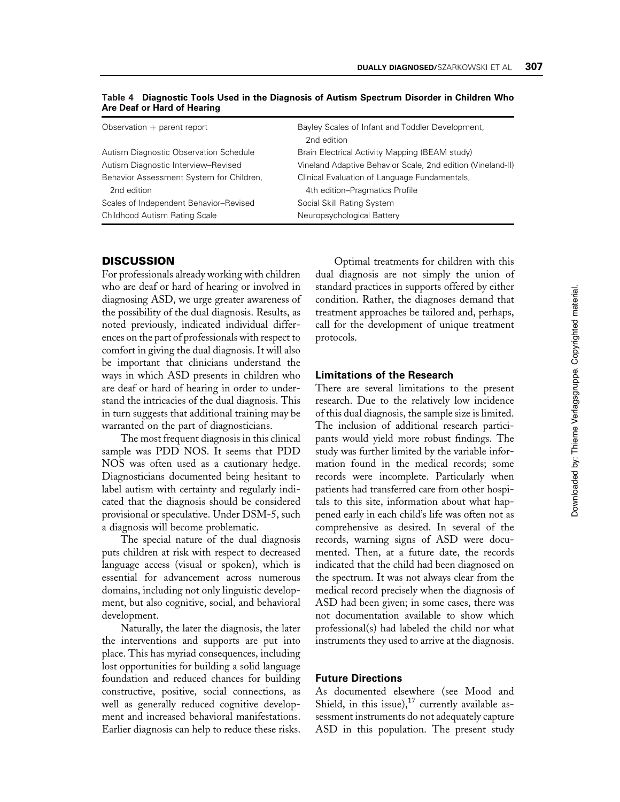| Observation $+$ parent report            | Bayley Scales of Infant and Toddler Development,<br>2nd edition |
|------------------------------------------|-----------------------------------------------------------------|
| Autism Diagnostic Observation Schedule   | Brain Electrical Activity Mapping (BEAM study)                  |
| Autism Diagnostic Interview-Revised      | Vineland Adaptive Behavior Scale, 2nd edition (Vineland-II)     |
| Behavior Assessment System for Children, | Clinical Evaluation of Language Fundamentals,                   |
| 2nd edition                              | 4th edition-Pragmatics Profile                                  |
| Scales of Independent Behavior-Revised   | Social Skill Rating System                                      |
| <b>Childhood Autism Rating Scale</b>     | Neuropsychological Battery                                      |

Table 4 Diagnostic Tools Used in the Diagnosis of Autism Spectrum Disorder in Children Who Are Deaf or Hard of Hearing

## **DISCUSSION**

For professionals already working with children who are deaf or hard of hearing or involved in diagnosing ASD, we urge greater awareness of the possibility of the dual diagnosis. Results, as noted previously, indicated individual differences on the part of professionals with respect to comfort in giving the dual diagnosis. It will also be important that clinicians understand the ways in which ASD presents in children who are deaf or hard of hearing in order to understand the intricacies of the dual diagnosis. This in turn suggests that additional training may be warranted on the part of diagnosticians.

The most frequent diagnosis in this clinical sample was PDD NOS. It seems that PDD NOS was often used as a cautionary hedge. Diagnosticians documented being hesitant to label autism with certainty and regularly indicated that the diagnosis should be considered provisional or speculative. Under DSM-5, such a diagnosis will become problematic.

The special nature of the dual diagnosis puts children at risk with respect to decreased language access (visual or spoken), which is essential for advancement across numerous domains, including not only linguistic development, but also cognitive, social, and behavioral development.

Naturally, the later the diagnosis, the later the interventions and supports are put into place. This has myriad consequences, including lost opportunities for building a solid language foundation and reduced chances for building constructive, positive, social connections, as well as generally reduced cognitive development and increased behavioral manifestations. Earlier diagnosis can help to reduce these risks.

Optimal treatments for children with this dual diagnosis are not simply the union of standard practices in supports offered by either condition. Rather, the diagnoses demand that treatment approaches be tailored and, perhaps, call for the development of unique treatment protocols.

### Limitations of the Research

There are several limitations to the present research. Due to the relatively low incidence of this dual diagnosis, the sample size is limited. The inclusion of additional research participants would yield more robust findings. The study was further limited by the variable information found in the medical records; some records were incomplete. Particularly when patients had transferred care from other hospitals to this site, information about what happened early in each child's life was often not as comprehensive as desired. In several of the records, warning signs of ASD were documented. Then, at a future date, the records indicated that the child had been diagnosed on the spectrum. It was not always clear from the medical record precisely when the diagnosis of ASD had been given; in some cases, there was not documentation available to show which professional(s) had labeled the child nor what instruments they used to arrive at the diagnosis.

# Future Directions

As documented elsewhere (see Mood and Shield, in this issue), $17$  currently available assessment instruments do not adequately capture ASD in this population. The present study